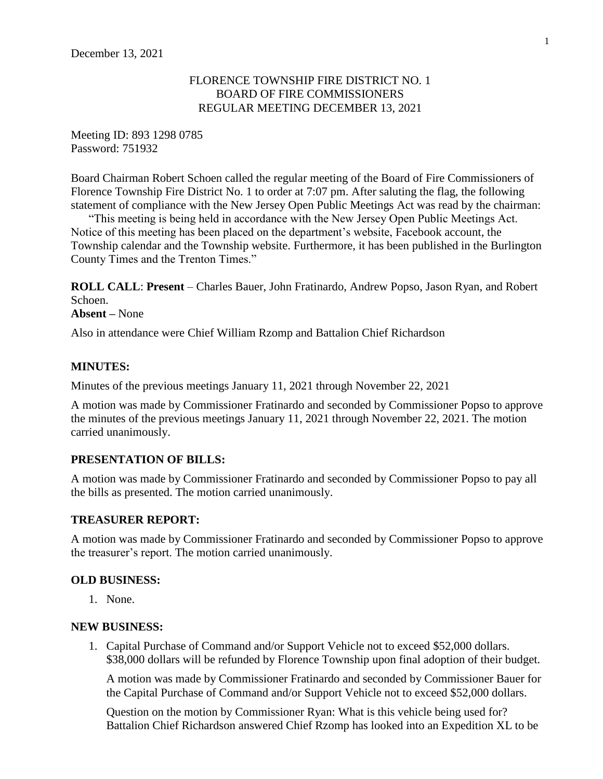## FLORENCE TOWNSHIP FIRE DISTRICT NO. 1 BOARD OF FIRE COMMISSIONERS REGULAR MEETING DECEMBER 13, 2021

Meeting ID: 893 1298 0785 Password: 751932

Board Chairman Robert Schoen called the regular meeting of the Board of Fire Commissioners of Florence Township Fire District No. 1 to order at 7:07 pm. After saluting the flag, the following statement of compliance with the New Jersey Open Public Meetings Act was read by the chairman:

"This meeting is being held in accordance with the New Jersey Open Public Meetings Act. Notice of this meeting has been placed on the department's website, Facebook account, the Township calendar and the Township website. Furthermore, it has been published in the Burlington County Times and the Trenton Times."

**ROLL CALL**: **Present** – Charles Bauer, John Fratinardo, Andrew Popso, Jason Ryan, and Robert Schoen.

## **Absent –** None

Also in attendance were Chief William Rzomp and Battalion Chief Richardson

## **MINUTES:**

Minutes of the previous meetings January 11, 2021 through November 22, 2021

A motion was made by Commissioner Fratinardo and seconded by Commissioner Popso to approve the minutes of the previous meetings January 11, 2021 through November 22, 2021. The motion carried unanimously.

## **PRESENTATION OF BILLS:**

A motion was made by Commissioner Fratinardo and seconded by Commissioner Popso to pay all the bills as presented. The motion carried unanimously.

## **TREASURER REPORT:**

A motion was made by Commissioner Fratinardo and seconded by Commissioner Popso to approve the treasurer's report. The motion carried unanimously.

## **OLD BUSINESS:**

1. None.

#### **NEW BUSINESS:**

1. Capital Purchase of Command and/or Support Vehicle not to exceed \$52,000 dollars. \$38,000 dollars will be refunded by Florence Township upon final adoption of their budget.

A motion was made by Commissioner Fratinardo and seconded by Commissioner Bauer for the Capital Purchase of Command and/or Support Vehicle not to exceed \$52,000 dollars.

Question on the motion by Commissioner Ryan: What is this vehicle being used for? Battalion Chief Richardson answered Chief Rzomp has looked into an Expedition XL to be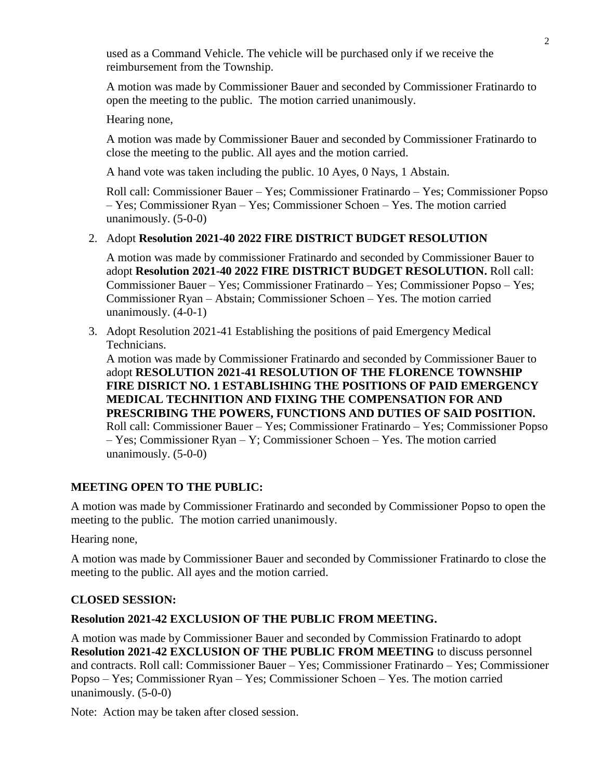used as a Command Vehicle. The vehicle will be purchased only if we receive the reimbursement from the Township.

A motion was made by Commissioner Bauer and seconded by Commissioner Fratinardo to open the meeting to the public. The motion carried unanimously.

Hearing none,

A motion was made by Commissioner Bauer and seconded by Commissioner Fratinardo to close the meeting to the public. All ayes and the motion carried.

A hand vote was taken including the public. 10 Ayes, 0 Nays, 1 Abstain.

Roll call: Commissioner Bauer – Yes; Commissioner Fratinardo – Yes; Commissioner Popso – Yes; Commissioner Ryan – Yes; Commissioner Schoen – Yes. The motion carried unanimously. (5-0-0)

# 2. Adopt **Resolution 2021-40 2022 FIRE DISTRICT BUDGET RESOLUTION**

A motion was made by commissioner Fratinardo and seconded by Commissioner Bauer to adopt **Resolution 2021-40 2022 FIRE DISTRICT BUDGET RESOLUTION.** Roll call: Commissioner Bauer – Yes; Commissioner Fratinardo – Yes; Commissioner Popso – Yes; Commissioner Ryan – Abstain; Commissioner Schoen – Yes. The motion carried unanimously. (4-0-1)

3. Adopt Resolution 2021-41 Establishing the positions of paid Emergency Medical Technicians.

A motion was made by Commissioner Fratinardo and seconded by Commissioner Bauer to adopt **RESOLUTION 2021-41 RESOLUTION OF THE FLORENCE TOWNSHIP FIRE DISRICT NO. 1 ESTABLISHING THE POSITIONS OF PAID EMERGENCY MEDICAL TECHNITION AND FIXING THE COMPENSATION FOR AND PRESCRIBING THE POWERS, FUNCTIONS AND DUTIES OF SAID POSITION.** Roll call: Commissioner Bauer – Yes; Commissioner Fratinardo – Yes; Commissioner Popso – Yes; Commissioner Ryan – Y; Commissioner Schoen – Yes. The motion carried unanimously. (5-0-0)

# **MEETING OPEN TO THE PUBLIC:**

A motion was made by Commissioner Fratinardo and seconded by Commissioner Popso to open the meeting to the public. The motion carried unanimously.

Hearing none,

A motion was made by Commissioner Bauer and seconded by Commissioner Fratinardo to close the meeting to the public. All ayes and the motion carried.

# **CLOSED SESSION:**

# **Resolution 2021-42 EXCLUSION OF THE PUBLIC FROM MEETING.**

A motion was made by Commissioner Bauer and seconded by Commission Fratinardo to adopt **Resolution 2021-42 EXCLUSION OF THE PUBLIC FROM MEETING** to discuss personnel and contracts. Roll call: Commissioner Bauer – Yes; Commissioner Fratinardo – Yes; Commissioner Popso – Yes; Commissioner Ryan – Yes; Commissioner Schoen – Yes. The motion carried unanimously. (5-0-0)

Note: Action may be taken after closed session.